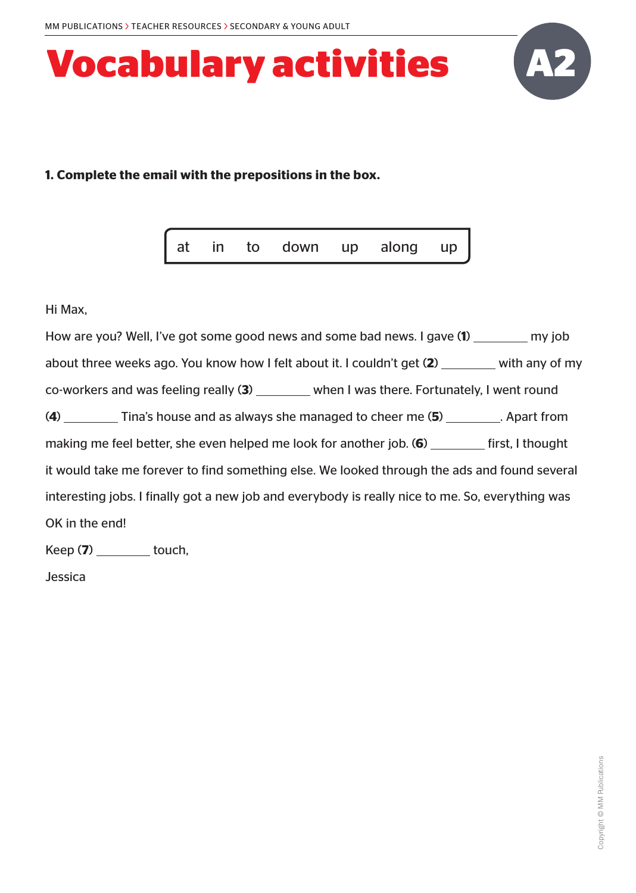

#### **1. Complete the email with the prepositions in the box.**

|  | at in to down up along up |  |  |
|--|---------------------------|--|--|
|  |                           |  |  |

Hi Max,

How are you? Well, I've got some good news and some bad news. I gave (1) <u>second</u> my job about three weeks ago. You know how I felt about it. I couldn't get (2) with any of my co-workers and was feeling really (3) \_\_\_\_\_\_\_ when I was there. Fortunately, I went round (4) Tina's house and as always she managed to cheer me (5) \_\_\_\_\_\_\_\_. Apart from making me feel better, she even helped me look for another job. **(6)** first, I thought it would take me forever to find something else. We looked through the ads and found several interesting jobs. I finally got a new job and everybody is really nice to me. So, everything was OK in the end!

Keep (7) \_\_\_\_\_\_\_\_\_ touch,

Jessica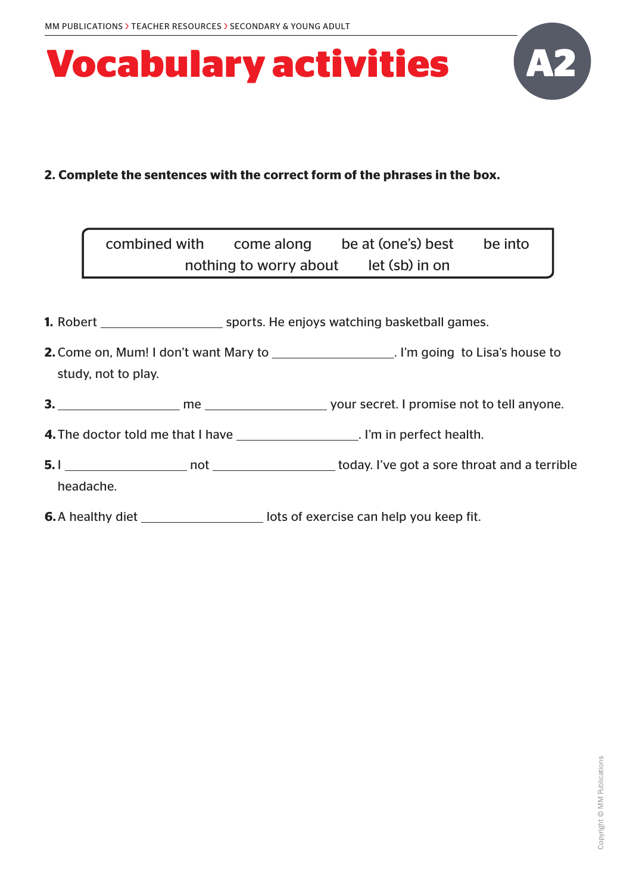

### **2. Complete the sentences with the correct form of the phrases in the box.**

|                     | combined with come along be at (one's) best be into<br>nothing to worry about let (sb) in on |  |
|---------------------|----------------------------------------------------------------------------------------------|--|
|                     |                                                                                              |  |
|                     |                                                                                              |  |
| study, not to play. | 2. Come on, Mum! I don't want Mary to ____________________. I'm going to Lisa's house to     |  |
|                     |                                                                                              |  |
|                     | <b>4.</b> The doctor told me that I have ________________________. I'm in perfect health.    |  |
| headache.           |                                                                                              |  |
|                     | <b>6.</b> A healthy diet _______________________lots of exercise can help you keep fit.      |  |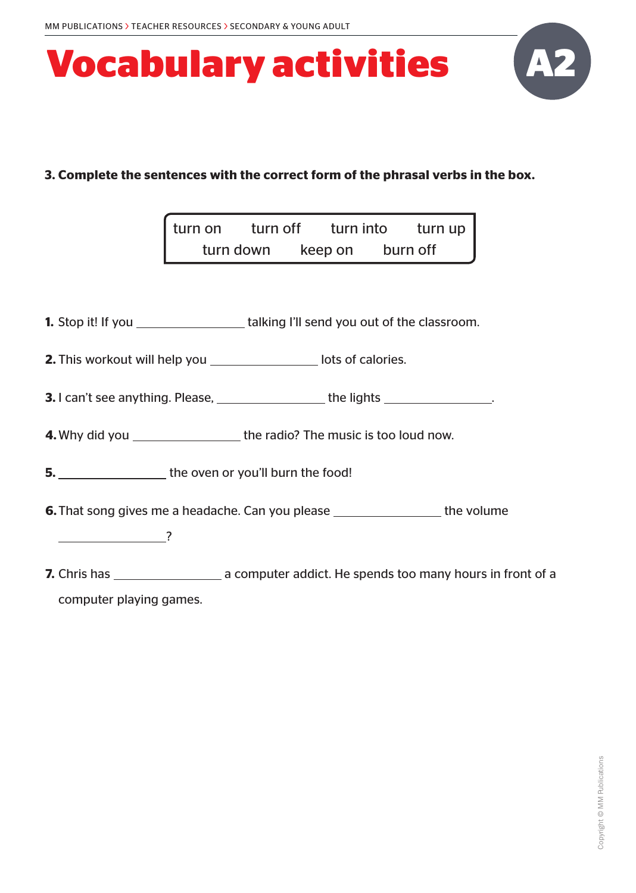

### **3. Complete the sentences with the correct form of the phrasal verbs in the box.**

| I turn on | turn off |         | turn into | turn up $\vert$ |
|-----------|----------|---------|-----------|-----------------|
| turn down |          | keep on | burn off  |                 |

**1.** Stop it! If you \_\_\_\_\_\_\_\_\_\_\_\_\_\_\_\_\_\_\_\_\_\_\_talking I'll send you out of the classroom.

**2.** This workout will help you \_\_\_\_\_\_\_\_\_\_\_\_\_\_\_\_\_ lots of calories.

**3.** I can't see anything. Please, <u>the lights and the lights . The lights see anything. Please, the light set of the lights  $\frac{1}{\sqrt{1-\frac{1}{n}}}\cos\left(\frac{1}{n}\right)$ </u>

**4.** Why did you the radio? The music is too loud now.

**5.** the oven or you'll burn the food!

**6.** That song gives me a headache. Can you please  $\frac{1}{\sqrt{1-\frac{1}{n}}}\$  the volume

?

**7.** Chris has a computer addict. He spends too many hours in front of a computer playing games.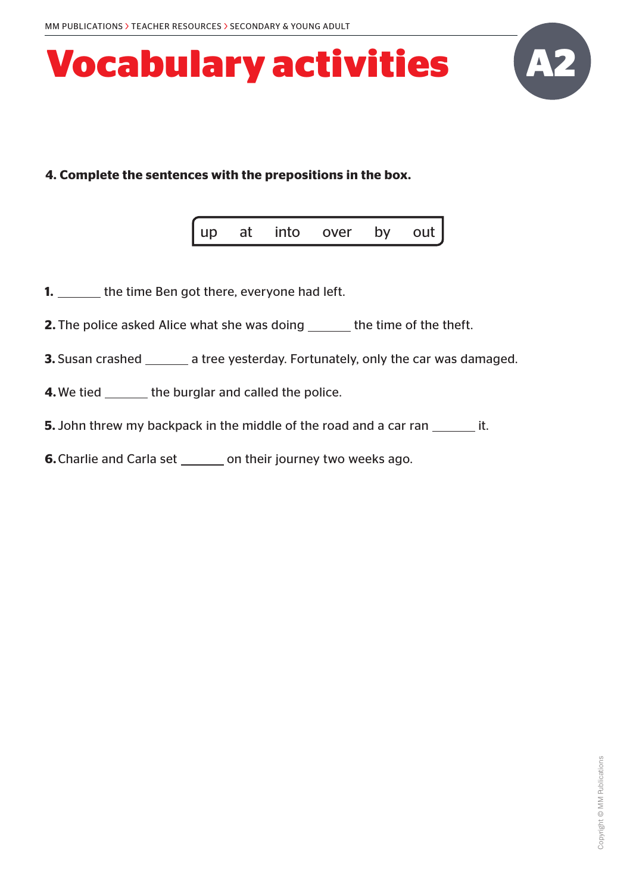

#### **4. Complete the sentences with the prepositions in the box.**

|  | up at into over by out |  |
|--|------------------------|--|
|  |                        |  |

- **1.** \_\_\_\_\_\_\_ the time Ben got there, everyone had left.
- **2.** The police asked Alice what she was doing \_\_\_\_\_\_ the time of the theft.
- **3.** Susan crashed \_\_\_\_\_\_\_ a tree yesterday. Fortunately, only the car was damaged.
- **4.** We tied \_\_\_\_\_\_\_ the burglar and called the police.
- **5.** John threw my backpack in the middle of the road and a car ran \_\_\_\_\_\_\_\_ it.
- **6.** Charlie and Carla set \_\_\_\_\_\_\_ on their journey two weeks ago.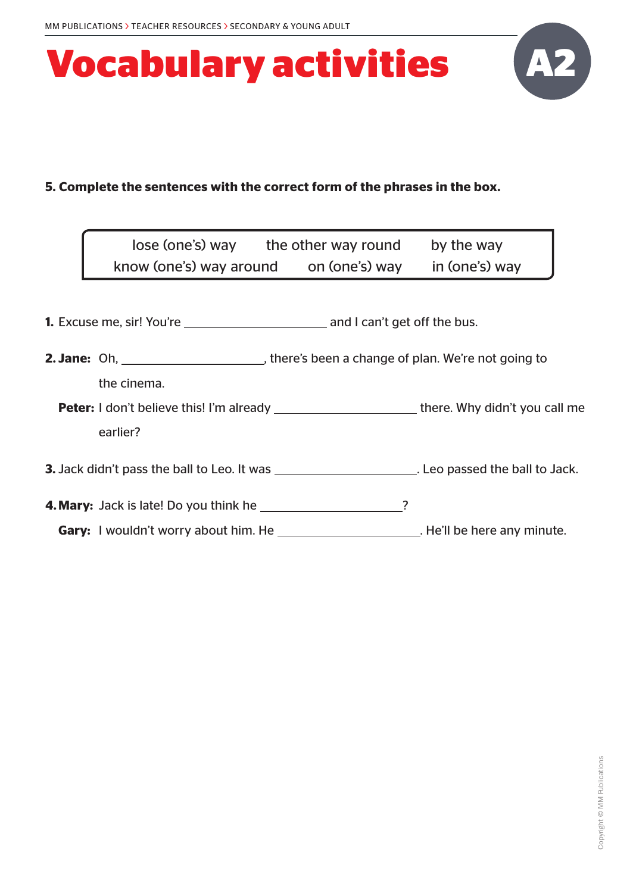

### **5. Complete the sentences with the correct form of the phrases in the box.**

| lose (one's) way the other way round                                                                                                                                                                                                    |  | by the way |
|-----------------------------------------------------------------------------------------------------------------------------------------------------------------------------------------------------------------------------------------|--|------------|
| know (one's) way around on (one's) way in (one's) way                                                                                                                                                                                   |  |            |
|                                                                                                                                                                                                                                         |  |            |
|                                                                                                                                                                                                                                         |  |            |
|                                                                                                                                                                                                                                         |  |            |
| the cinema.                                                                                                                                                                                                                             |  |            |
| <b>Peter:</b> I don't believe this! I'm already _________________________there. Why didn't you call me                                                                                                                                  |  |            |
| earlier?                                                                                                                                                                                                                                |  |            |
| <b>3.</b> Jack didn't pass the ball to Leo. It was <b>Exercise 2. 19. It is a set of the ball to Jack.</b> Suppose the ball to Jack.                                                                                                    |  |            |
| <b>4. Mary:</b> Jack is late! Do you think he                                                                                                                                                                                           |  |            |
| <b>Gary:</b> I wouldn't worry about him. He <b>Case 1 and 1</b> and 1 and 1 and 1 and 1 and 1 and 1 and 1 and 1 and 1 and 1 and 1 and 1 and 1 and 1 and 1 and 1 and 1 and 1 and 1 and 1 and 1 and 1 and 1 and 1 and 1 and 1 and 1 and 1 |  |            |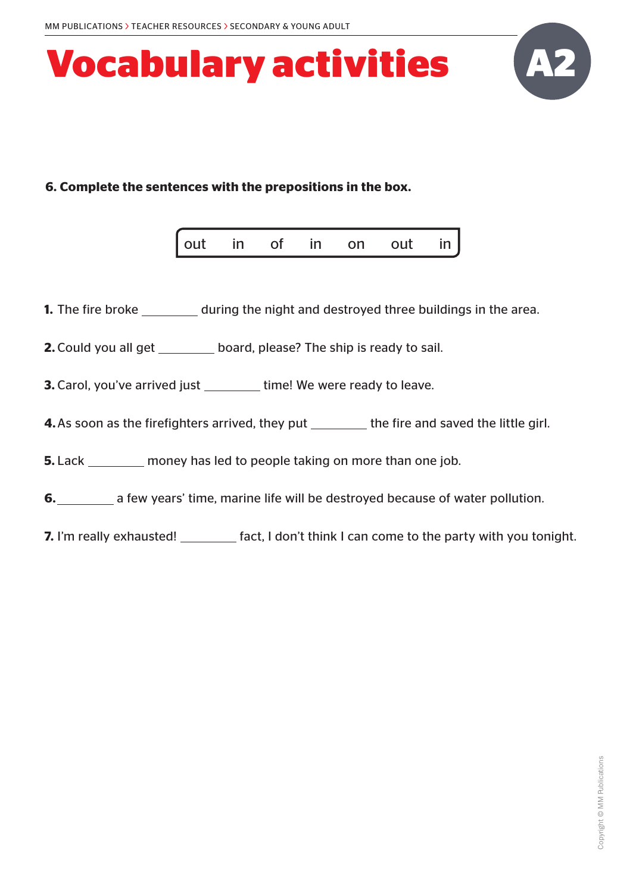

### **6. Complete the sentences with the prepositions in the box.**

| $\int$ out<br>in<br><b>OUT</b><br>n <sub>n</sub><br>in<br>in |
|--------------------------------------------------------------|
|--------------------------------------------------------------|

- **1.** The fire broke \_\_\_\_\_\_\_\_\_ during the night and destroyed three buildings in the area.
- **2.** Could you all get \_\_\_\_\_\_\_ board, please? The ship is ready to sail.
- **3.** Carol, you've arrived just \_\_\_\_\_\_\_\_ time! We were ready to leave.
- **4.** As soon as the firefighters arrived, they put \_\_\_\_\_\_\_\_ the fire and saved the little girl.

**5.** Lack \_\_\_\_\_\_\_\_ money has led to people taking on more than one job.

- **6. b** a few years' time, marine life will be destroyed because of water pollution.
- **7.** I'm really exhausted! \_\_\_\_\_\_\_\_\_ fact, I don't think I can come to the party with you tonight.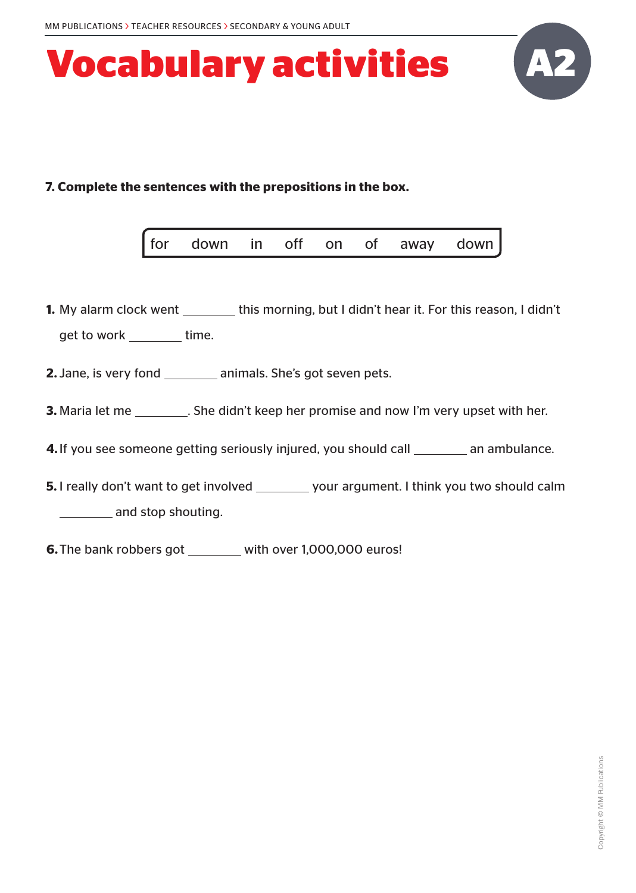

### **7. Complete the sentences with the prepositions in the box.**

|  | for down in off on of away down |  |  |  |  |  |  |
|--|---------------------------------|--|--|--|--|--|--|
|--|---------------------------------|--|--|--|--|--|--|

- **1.** My alarm clock went \_\_\_\_\_\_\_\_ this morning, but I didn't hear it. For this reason, I didn't get to work \_\_\_\_\_\_\_\_ time.
- **2.** Jane, is very fond animals. She's got seven pets.
- **3.** Maria let me \_\_\_\_\_\_\_\_\_. She didn't keep her promise and now I'm very upset with her.
- **4.** If you see someone getting seriously injured, you should call \_\_\_\_\_\_\_\_ an ambulance.
- **5.** I really don't want to get involved \_\_\_\_\_\_\_\_ your argument. I think you two should calm **1201** and stop shouting.
- **6.** The bank robbers got \_\_\_\_\_\_ with over 1,000,000 euros!